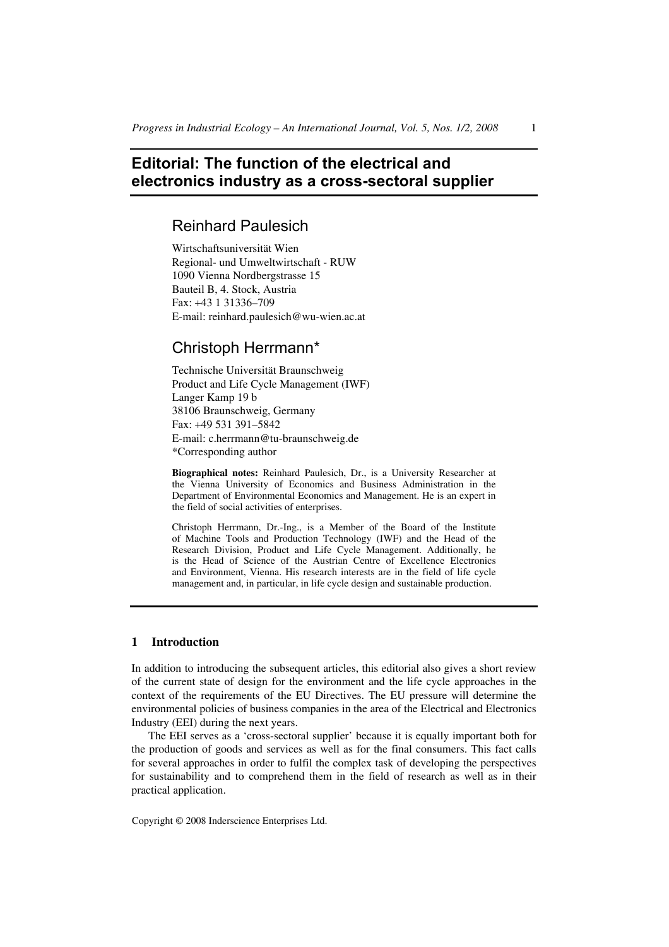# **Editorial: The function of the electrical and electronics industry as a cross-sectoral supplier**

## Reinhard Paulesich

Wirtschaftsuniversität Wien Regional- und Umweltwirtschaft - RUW 1090 Vienna Nordbergstrasse 15 Bauteil B, 4. Stock, Austria Fax: +43 1 31336–709 E-mail: reinhard.paulesich@wu-wien.ac.at

## Christoph Herrmann\*

Technische Universität Braunschweig Product and Life Cycle Management (IWF) Langer Kamp 19 b 38106 Braunschweig, Germany Fax: +49 531 391–5842 E-mail: c.herrmann@tu-braunschweig.de \*Corresponding author

**Biographical notes:** Reinhard Paulesich, Dr., is a University Researcher at the Vienna University of Economics and Business Administration in the Department of Environmental Economics and Management. He is an expert in the field of social activities of enterprises.

Christoph Herrmann, Dr.-Ing., is a Member of the Board of the Institute of Machine Tools and Production Technology (IWF) and the Head of the Research Division, Product and Life Cycle Management. Additionally, he is the Head of Science of the Austrian Centre of Excellence Electronics and Environment, Vienna. His research interests are in the field of life cycle management and, in particular, in life cycle design and sustainable production.

## **1 Introduction**

In addition to introducing the subsequent articles, this editorial also gives a short review of the current state of design for the environment and the life cycle approaches in the context of the requirements of the EU Directives. The EU pressure will determine the environmental policies of business companies in the area of the Electrical and Electronics Industry (EEI) during the next years.

The EEI serves as a 'cross-sectoral supplier' because it is equally important both for the production of goods and services as well as for the final consumers. This fact calls for several approaches in order to fulfil the complex task of developing the perspectives for sustainability and to comprehend them in the field of research as well as in their practical application.

Copyright © 2008 Inderscience Enterprises Ltd.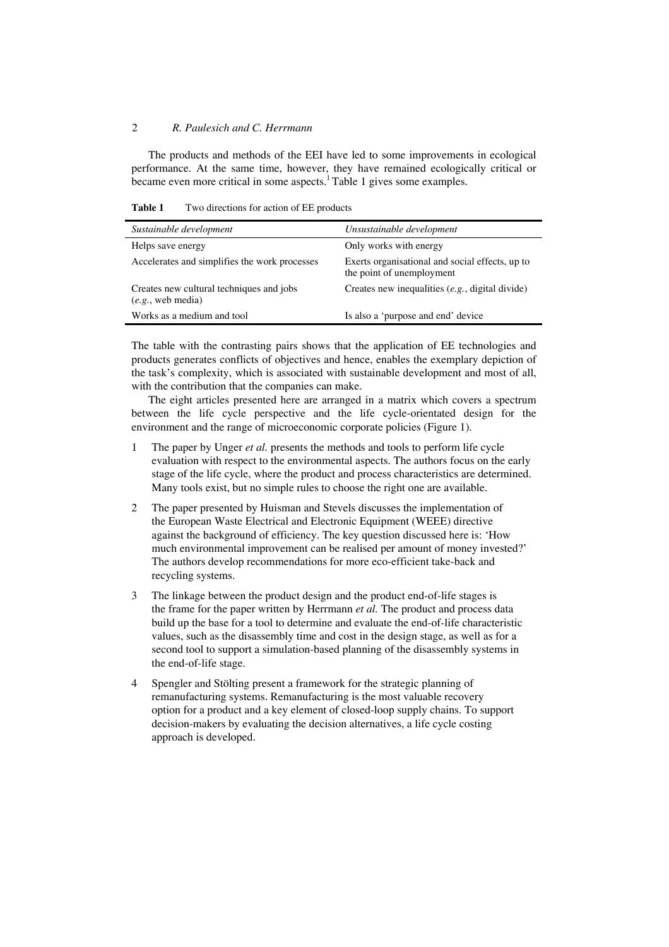The products and methods of the EEI have led to some improvements in ecological performance. At the same time, however, they have remained ecologically critical or became even more critical in some aspects. $\frac{1}{1}$ Table 1 gives some examples.

**Table 1** Two directions for action of EE products

| Sustainable development                                       | Unsustainable development                                                    |
|---------------------------------------------------------------|------------------------------------------------------------------------------|
| Helps save energy                                             | Only works with energy                                                       |
| Accelerates and simplifies the work processes                 | Exerts organisational and social effects, up to<br>the point of unemployment |
| Creates new cultural techniques and jobs<br>(e.g., web media) | Creates new inequalities $(e.g.,$ digital divide)                            |
| Works as a medium and tool                                    | Is also a 'purpose and end' device                                           |

The table with the contrasting pairs shows that the application of EE technologies and products generates conflicts of objectives and hence, enables the exemplary depiction of the task's complexity, which is associated with sustainable development and most of all, with the contribution that the companies can make.

The eight articles presented here are arranged in a matrix which covers a spectrum between the life cycle perspective and the life cycle-orientated design for the environment and the range of microeconomic corporate policies (Figure 1).

- 1 The paper by Unger *et al.* presents the methods and tools to perform life cycle evaluation with respect to the environmental aspects. The authors focus on the early stage of the life cycle, where the product and process characteristics are determined. Many tools exist, but no simple rules to choose the right one are available.
- 2 The paper presented by Huisman and Stevels discusses the implementation of the European Waste Electrical and Electronic Equipment (WEEE) directive against the background of efficiency. The key question discussed here is: 'How much environmental improvement can be realised per amount of money invested?' The authors develop recommendations for more eco-efficient take-back and recycling systems.
- 3 The linkage between the product design and the product end-of-life stages is the frame for the paper written by Herrmann *et al.* The product and process data build up the base for a tool to determine and evaluate the end-of-life characteristic values, such as the disassembly time and cost in the design stage, as well as for a second tool to support a simulation-based planning of the disassembly systems in the end-of-life stage.
- 4 Spengler and Stölting present a framework for the strategic planning of remanufacturing systems. Remanufacturing is the most valuable recovery option for a product and a key element of closed-loop supply chains. To support decision-makers by evaluating the decision alternatives, a life cycle costing approach is developed.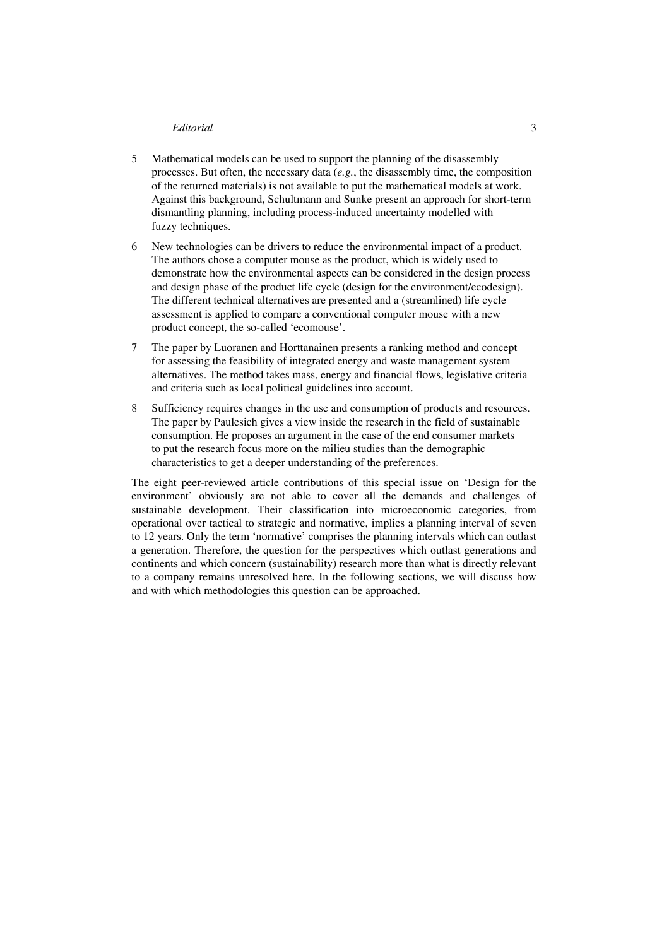- 5 Mathematical models can be used to support the planning of the disassembly processes. But often, the necessary data (*e.g.*, the disassembly time, the composition of the returned materials) is not available to put the mathematical models at work. Against this background, Schultmann and Sunke present an approach for short-term dismantling planning, including process-induced uncertainty modelled with fuzzy techniques.
- 6 New technologies can be drivers to reduce the environmental impact of a product. The authors chose a computer mouse as the product, which is widely used to demonstrate how the environmental aspects can be considered in the design process and design phase of the product life cycle (design for the environment/ecodesign). The different technical alternatives are presented and a (streamlined) life cycle assessment is applied to compare a conventional computer mouse with a new product concept, the so-called 'ecomouse'.
- 7 The paper by Luoranen and Horttanainen presents a ranking method and concept for assessing the feasibility of integrated energy and waste management system alternatives. The method takes mass, energy and financial flows, legislative criteria and criteria such as local political guidelines into account.
- 8 Sufficiency requires changes in the use and consumption of products and resources. The paper by Paulesich gives a view inside the research in the field of sustainable consumption. He proposes an argument in the case of the end consumer markets to put the research focus more on the milieu studies than the demographic characteristics to get a deeper understanding of the preferences.

The eight peer-reviewed article contributions of this special issue on 'Design for the environment' obviously are not able to cover all the demands and challenges of sustainable development. Their classification into microeconomic categories, from operational over tactical to strategic and normative, implies a planning interval of seven to 12 years. Only the term 'normative' comprises the planning intervals which can outlast a generation. Therefore, the question for the perspectives which outlast generations and continents and which concern (sustainability) research more than what is directly relevant to a company remains unresolved here. In the following sections, we will discuss how and with which methodologies this question can be approached.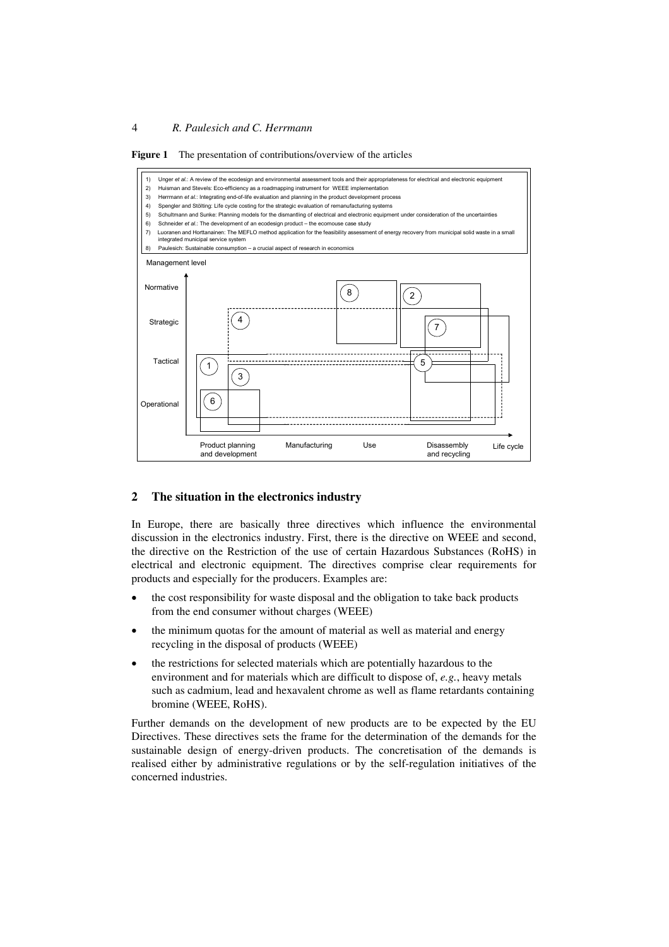

**Figure 1** The presentation of contributions/overview of the articles

#### **2 The situation in the electronics industry**

In Europe, there are basically three directives which influence the environmental discussion in the electronics industry. First, there is the directive on WEEE and second, the directive on the Restriction of the use of certain Hazardous Substances (RoHS) in electrical and electronic equipment. The directives comprise clear requirements for products and especially for the producers. Examples are:

- the cost responsibility for waste disposal and the obligation to take back products from the end consumer without charges (WEEE)
- the minimum quotas for the amount of material as well as material and energy recycling in the disposal of products (WEEE)
- the restrictions for selected materials which are potentially hazardous to the environment and for materials which are difficult to dispose of, *e.g.*, heavy metals such as cadmium, lead and hexavalent chrome as well as flame retardants containing bromine (WEEE, RoHS).

Further demands on the development of new products are to be expected by the EU Directives. These directives sets the frame for the determination of the demands for the sustainable design of energy-driven products. The concretisation of the demands is realised either by administrative regulations or by the self-regulation initiatives of the concerned industries.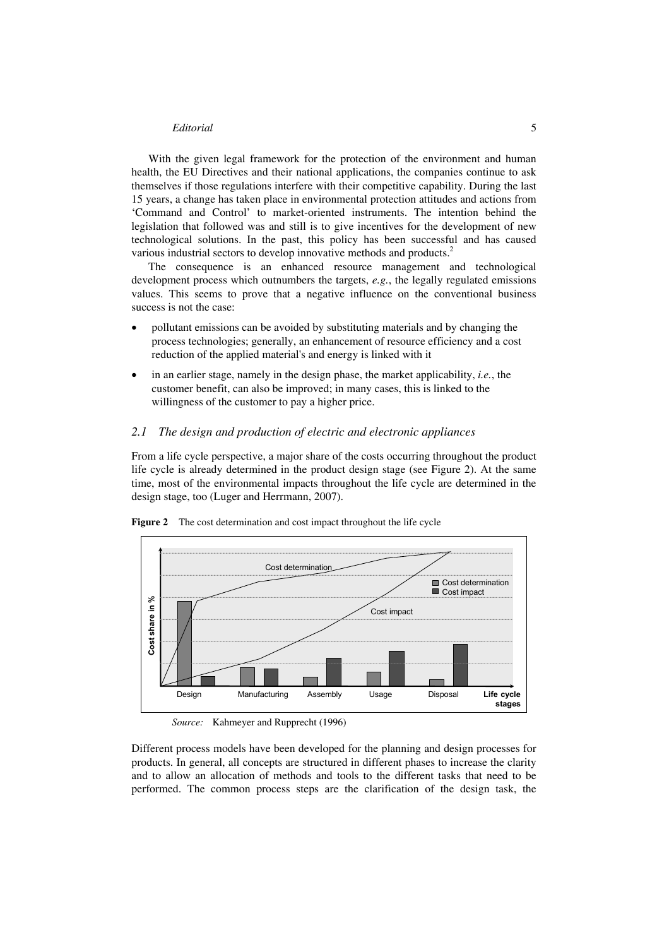With the given legal framework for the protection of the environment and human health, the EU Directives and their national applications, the companies continue to ask themselves if those regulations interfere with their competitive capability. During the last 15 years, a change has taken place in environmental protection attitudes and actions from 'Command and Control' to market-oriented instruments. The intention behind the legislation that followed was and still is to give incentives for the development of new technological solutions. In the past, this policy has been successful and has caused various industrial sectors to develop innovative methods and products.<sup>2</sup>

The consequence is an enhanced resource management and technological development process which outnumbers the targets, *e.g.*, the legally regulated emissions values. This seems to prove that a negative influence on the conventional business success is not the case:

- pollutant emissions can be avoided by substituting materials and by changing the process technologies; generally, an enhancement of resource efficiency and a cost reduction of the applied material's and energy is linked with it
- in an earlier stage, namely in the design phase, the market applicability, *i.e.*, the customer benefit, can also be improved; in many cases, this is linked to the willingness of the customer to pay a higher price.

#### *2.1 The design and production of electric and electronic appliances*

From a life cycle perspective, a major share of the costs occurring throughout the product life cycle is already determined in the product design stage (see Figure 2). At the same time, most of the environmental impacts throughout the life cycle are determined in the design stage, too (Luger and Herrmann, 2007).



**Figure 2** The cost determination and cost impact throughout the life cycle

Different process models have been developed for the planning and design processes for products. In general, all concepts are structured in different phases to increase the clarity and to allow an allocation of methods and tools to the different tasks that need to be performed. The common process steps are the clarification of the design task, the

*Source:* Kahmeyer and Rupprecht (1996)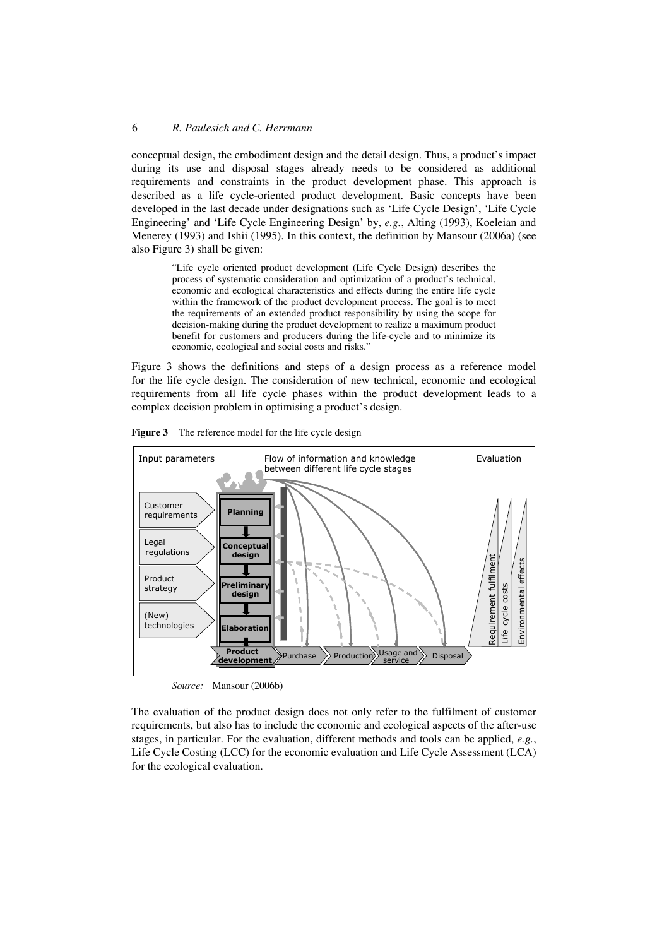conceptual design, the embodiment design and the detail design. Thus, a product's impact during its use and disposal stages already needs to be considered as additional requirements and constraints in the product development phase. This approach is described as a life cycle-oriented product development. Basic concepts have been developed in the last decade under designations such as 'Life Cycle Design', 'Life Cycle Engineering' and 'Life Cycle Engineering Design' by, *e.g.*, Alting (1993), Koeleian and Menerey (1993) and Ishii (1995). In this context, the definition by Mansour (2006a) (see also Figure 3) shall be given:

> "Life cycle oriented product development (Life Cycle Design) describes the process of systematic consideration and optimization of a product's technical, economic and ecological characteristics and effects during the entire life cycle within the framework of the product development process. The goal is to meet the requirements of an extended product responsibility by using the scope for decision-making during the product development to realize a maximum product benefit for customers and producers during the life-cycle and to minimize its economic, ecological and social costs and risks."

Figure 3 shows the definitions and steps of a design process as a reference model for the life cycle design. The consideration of new technical, economic and ecological requirements from all life cycle phases within the product development leads to a complex decision problem in optimising a product's design.



**Figure 3** The reference model for the life cycle design

*Source:* Mansour (2006b)

The evaluation of the product design does not only refer to the fulfilment of customer requirements, but also has to include the economic and ecological aspects of the after-use stages, in particular. For the evaluation, different methods and tools can be applied, *e.g.*, Life Cycle Costing (LCC) for the economic evaluation and Life Cycle Assessment (LCA) for the ecological evaluation.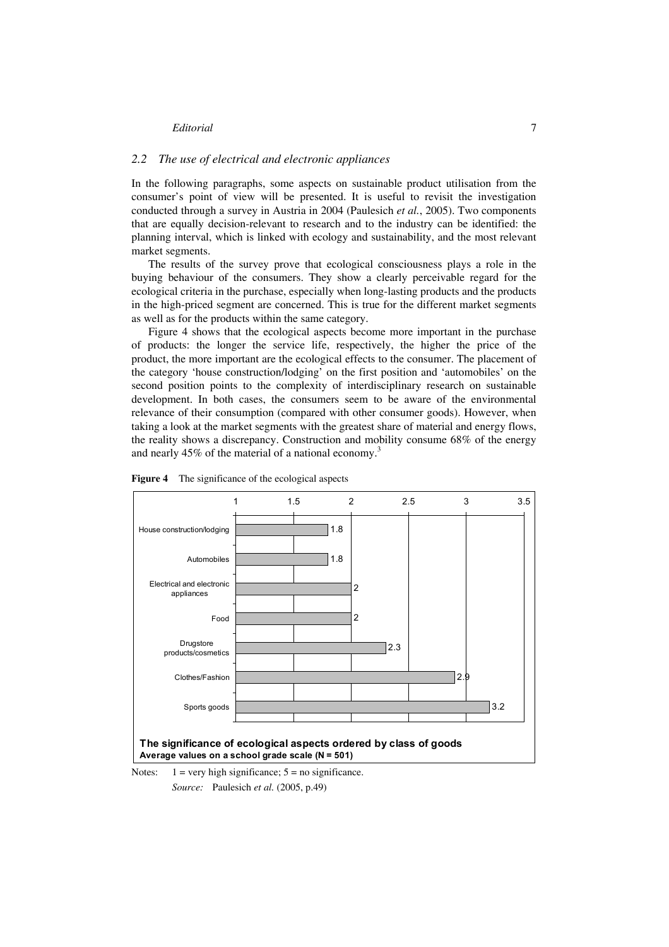### *2.2 The use of electrical and electronic appliances*

In the following paragraphs, some aspects on sustainable product utilisation from the consumer's point of view will be presented. It is useful to revisit the investigation conducted through a survey in Austria in 2004 (Paulesich *et al.*, 2005). Two components that are equally decision-relevant to research and to the industry can be identified: the planning interval, which is linked with ecology and sustainability, and the most relevant market segments.

The results of the survey prove that ecological consciousness plays a role in the buying behaviour of the consumers. They show a clearly perceivable regard for the ecological criteria in the purchase, especially when long-lasting products and the products in the high-priced segment are concerned. This is true for the different market segments as well as for the products within the same category.

Figure 4 shows that the ecological aspects become more important in the purchase of products: the longer the service life, respectively, the higher the price of the product, the more important are the ecological effects to the consumer. The placement of the category 'house construction/lodging' on the first position and 'automobiles' on the second position points to the complexity of interdisciplinary research on sustainable development. In both cases, the consumers seem to be aware of the environmental relevance of their consumption (compared with other consumer goods). However, when taking a look at the market segments with the greatest share of material and energy flows, the reality shows a discrepancy. Construction and mobility consume 68% of the energy and nearly 45% of the material of a national economy.<sup>3</sup>





Notes:  $1 = \text{very high significance}; 5 = \text{no significance}.$ *Source:* Paulesich *et al.* (2005, p.49)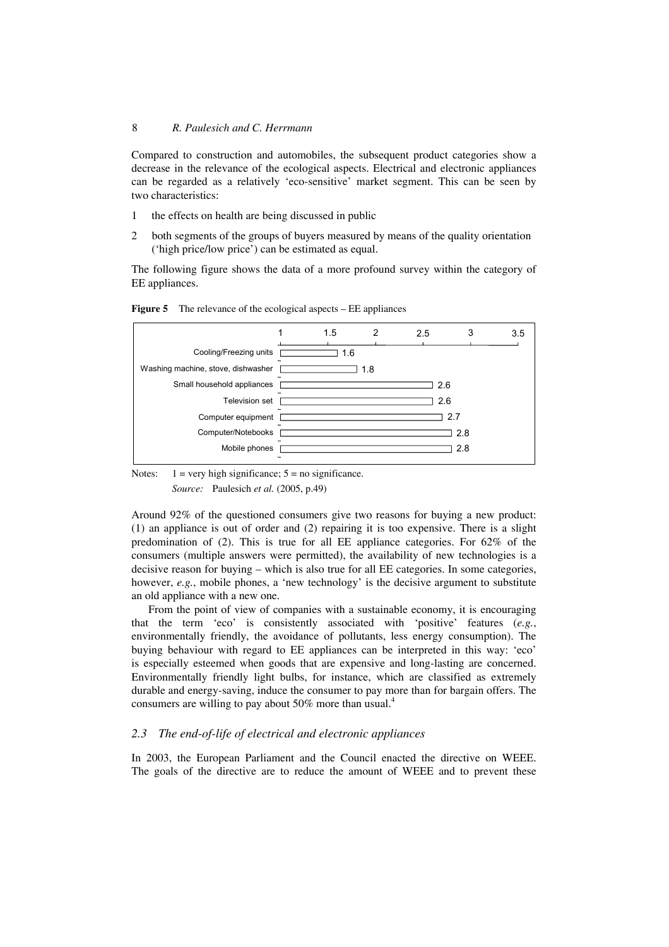Compared to construction and automobiles, the subsequent product categories show a decrease in the relevance of the ecological aspects. Electrical and electronic appliances can be regarded as a relatively 'eco-sensitive' market segment. This can be seen by two characteristics:

- 1 the effects on health are being discussed in public
- 2 both segments of the groups of buyers measured by means of the quality orientation ('high price/low price') can be estimated as equal.

The following figure shows the data of a more profound survey within the category of EE appliances.



**Figure 5** The relevance of the ecological aspects – EE appliances

Notes:  $1 = \text{very high significance}$ ;  $5 = \text{no significance}$ . *Source:* Paulesich *et al.* (2005, p.49)

Around 92% of the questioned consumers give two reasons for buying a new product: (1) an appliance is out of order and (2) repairing it is too expensive. There is a slight predomination of (2). This is true for all EE appliance categories. For 62% of the consumers (multiple answers were permitted), the availability of new technologies is a decisive reason for buying – which is also true for all EE categories. In some categories, however, *e.g.*, mobile phones, a 'new technology' is the decisive argument to substitute an old appliance with a new one.

From the point of view of companies with a sustainable economy, it is encouraging that the term 'eco' is consistently associated with 'positive' features (*e.g.*, environmentally friendly, the avoidance of pollutants, less energy consumption). The buying behaviour with regard to EE appliances can be interpreted in this way: 'eco' is especially esteemed when goods that are expensive and long-lasting are concerned. Environmentally friendly light bulbs, for instance, which are classified as extremely durable and energy-saving, induce the consumer to pay more than for bargain offers. The consumers are willing to pay about 50% more than usual. $4$ 

#### *2.3 The end-of-life of electrical and electronic appliances*

In 2003, the European Parliament and the Council enacted the directive on WEEE. The goals of the directive are to reduce the amount of WEEE and to prevent these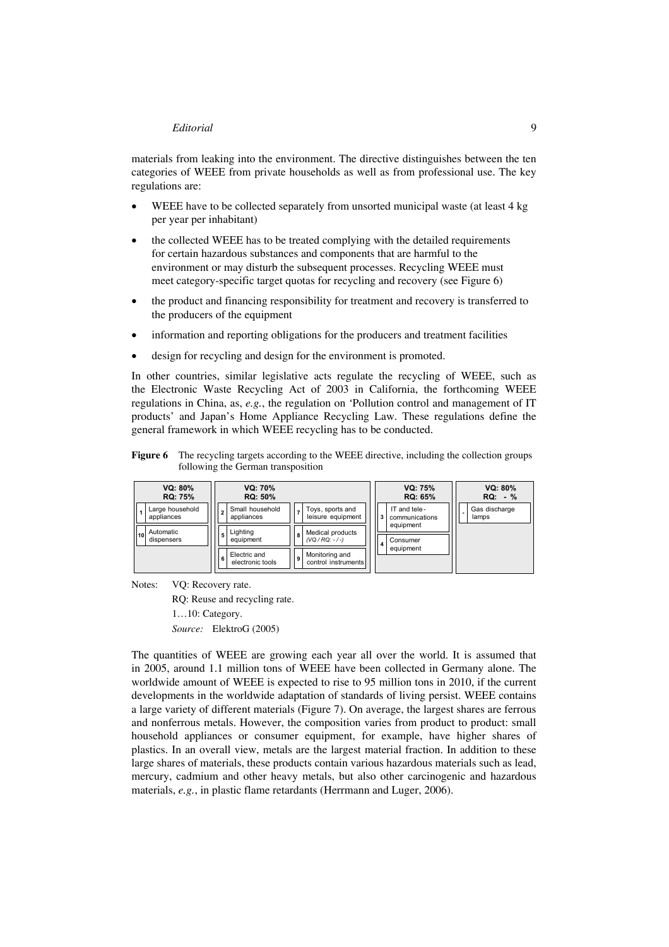materials from leaking into the environment. The directive distinguishes between the ten categories of WEEE from private households as well as from professional use. The key regulations are:

- WEEE have to be collected separately from unsorted municipal waste (at least 4 kg) per year per inhabitant)
- the collected WEEE has to be treated complying with the detailed requirements for certain hazardous substances and components that are harmful to the environment or may disturb the subsequent processes. Recycling WEEE must meet category-specific target quotas for recycling and recovery (see Figure 6)
- the product and financing responsibility for treatment and recovery is transferred to the producers of the equipment
- information and reporting obligations for the producers and treatment facilities
- design for recycling and design for the environment is promoted.

In other countries, similar legislative acts regulate the recycling of WEEE, such as the Electronic Waste Recycling Act of 2003 in California, the forthcoming WEEE regulations in China, as, *e.g.*, the regulation on 'Pollution control and management of IT products' and Japan's Home Appliance Recycling Law. These regulations define the general framework in which WEEE recycling has to be conducted.

**Figure 6** The recycling targets according to the WEEE directive, including the collection groups following the German transposition

|    | VQ: 80%<br><b>RQ: 75%</b>     | VQ: 70%<br><b>RQ: 50%</b>             |          |                                       |                         | VQ: 75%<br><b>RQ: 65%</b>      | VQ: 80%<br>$RQ: -\%$   |
|----|-------------------------------|---------------------------------------|----------|---------------------------------------|-------------------------|--------------------------------|------------------------|
|    | Large household<br>appliances | Small household<br>appliances         |          | Toys, sports and<br>leisure equipment | 3                       | IT and tele-<br>communications | Gas discharge<br>lamps |
| 10 | Automatic<br>dispensers       | Lighting<br>5<br>equipment            | <b>R</b> | Medical products<br>$(VQ/RO: -/-)$    | $\overline{\mathbf{4}}$ | equipment<br>Consumer          |                        |
|    |                               | Electric and<br>6<br>electronic tools | 9        | Monitoring and<br>control instruments |                         | equipment                      |                        |

Notes: VQ: Recovery rate.

RQ: Reuse and recycling rate.

1…10: Category.

*Source:* ElektroG (2005)

The quantities of WEEE are growing each year all over the world. It is assumed that in 2005, around 1.1 million tons of WEEE have been collected in Germany alone. The worldwide amount of WEEE is expected to rise to 95 million tons in 2010, if the current developments in the worldwide adaptation of standards of living persist. WEEE contains a large variety of different materials (Figure 7). On average, the largest shares are ferrous and nonferrous metals. However, the composition varies from product to product: small household appliances or consumer equipment, for example, have higher shares of plastics. In an overall view, metals are the largest material fraction. In addition to these large shares of materials, these products contain various hazardous materials such as lead, mercury, cadmium and other heavy metals, but also other carcinogenic and hazardous materials, *e.g.*, in plastic flame retardants (Herrmann and Luger, 2006).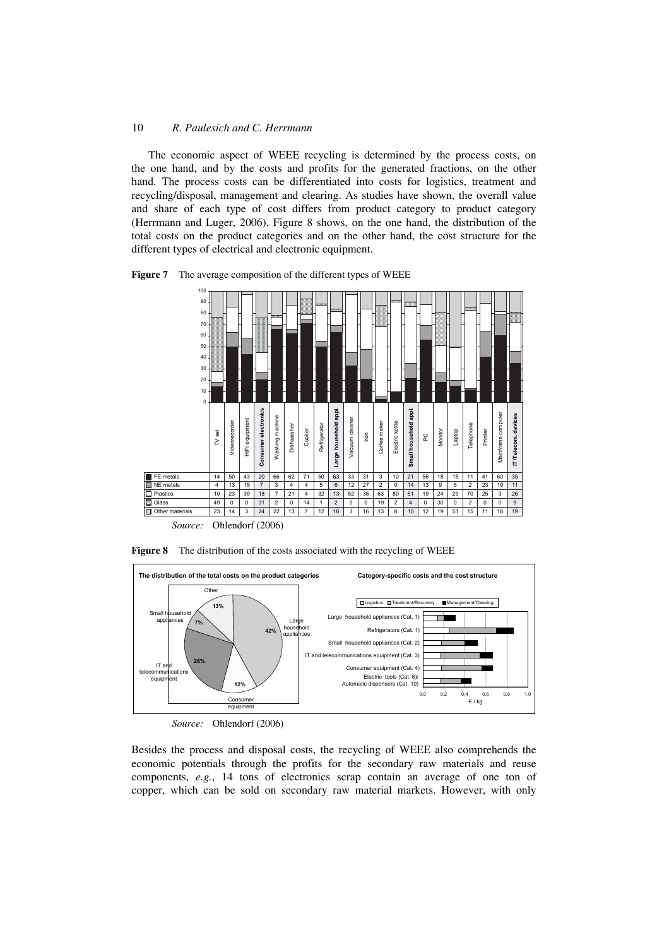The economic aspect of WEEE recycling is determined by the process costs, on the one hand, and by the costs and profits for the generated fractions, on the other hand. The process costs can be differentiated into costs for logistics, treatment and recycling/disposal, management and clearing. As studies have shown, the overall value and share of each type of cost differs from product category to product category (Herrmann and Luger, 2006). Figure 8 shows, on the one hand, the distribution of the total costs on the product categories and on the other hand, the cost structure for the different types of electrical and electronic equipment.

**Figure 7** The average composition of the different types of WEEE



*Source:* Ohlendorf (2006)

**Figure 8** The distribution of the costs associated with the recycling of WEEE



*Source:* Ohlendorf (2006)

Besides the process and disposal costs, the recycling of WEEE also comprehends the economic potentials through the profits for the secondary raw materials and reuse components, *e.g.*, 14 tons of electronics scrap contain an average of one ton of copper, which can be sold on secondary raw material markets. However, with only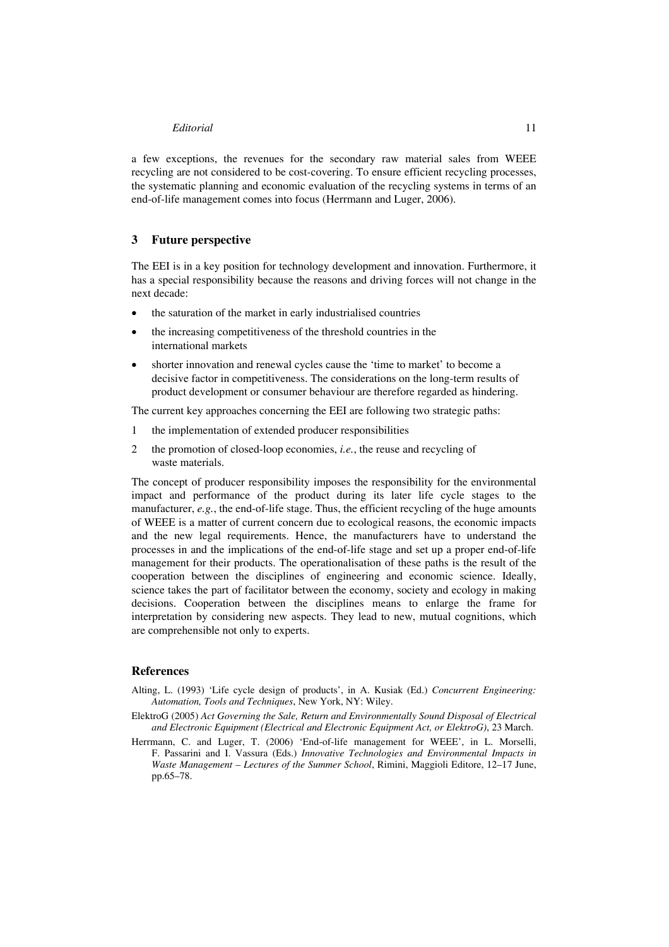a few exceptions, the revenues for the secondary raw material sales from WEEE recycling are not considered to be cost-covering. To ensure efficient recycling processes, the systematic planning and economic evaluation of the recycling systems in terms of an end-of-life management comes into focus (Herrmann and Luger, 2006).

## **3 Future perspective**

The EEI is in a key position for technology development and innovation. Furthermore, it has a special responsibility because the reasons and driving forces will not change in the next decade:

- the saturation of the market in early industrialised countries
- the increasing competitiveness of the threshold countries in the international markets
- shorter innovation and renewal cycles cause the 'time to market' to become a decisive factor in competitiveness. The considerations on the long-term results of product development or consumer behaviour are therefore regarded as hindering.

The current key approaches concerning the EEI are following two strategic paths:

- 1 the implementation of extended producer responsibilities
- 2 the promotion of closed-loop economies, *i.e.*, the reuse and recycling of waste materials.

The concept of producer responsibility imposes the responsibility for the environmental impact and performance of the product during its later life cycle stages to the manufacturer, *e.g.*, the end-of-life stage. Thus, the efficient recycling of the huge amounts of WEEE is a matter of current concern due to ecological reasons, the economic impacts and the new legal requirements. Hence, the manufacturers have to understand the processes in and the implications of the end-of-life stage and set up a proper end-of-life management for their products. The operationalisation of these paths is the result of the cooperation between the disciplines of engineering and economic science. Ideally, science takes the part of facilitator between the economy, society and ecology in making decisions. Cooperation between the disciplines means to enlarge the frame for interpretation by considering new aspects. They lead to new, mutual cognitions, which are comprehensible not only to experts.

### **References**

- Alting, L. (1993) 'Life cycle design of products', in A. Kusiak (Ed.) *Concurrent Engineering: Automation, Tools and Techniques*, New York, NY: Wiley.
- ElektroG (2005) *Act Governing the Sale, Return and Environmentally Sound Disposal of Electrical and Electronic Equipment (Electrical and Electronic Equipment Act, or ElektroG)*, 23 March.
- Herrmann, C. and Luger, T. (2006) 'End-of-life management for WEEE', in L. Morselli, F. Passarini and I. Vassura (Eds.) *Innovative Technologies and Environmental Impacts in Waste Management – Lectures of the Summer School*, Rimini, Maggioli Editore, 12–17 June, pp.65–78.